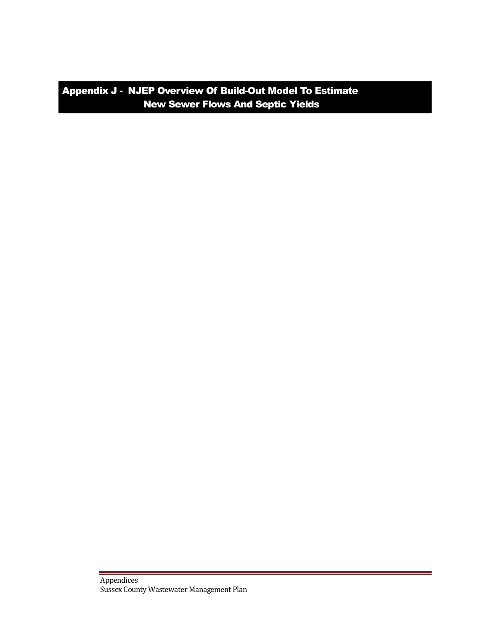Appendix J - NJEP Overview Of Build-Out Model To Estimate New Sewer Flows And Septic Yields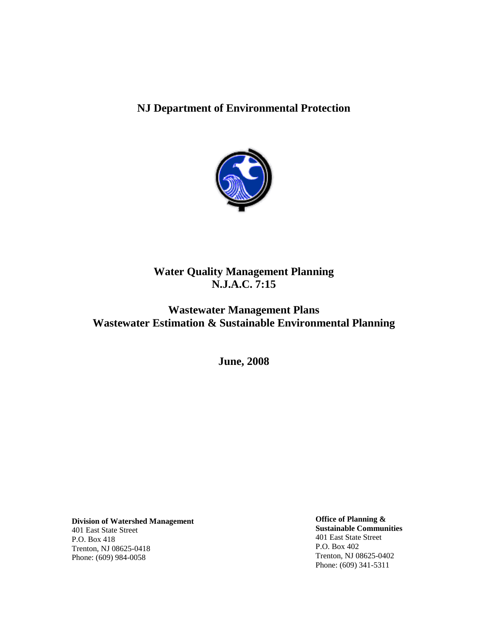# **NJ Department of Environmental Protection**



# **Water Quality Management Planning N.J.A.C. 7:15**

# **Wastewater Management Plans Wastewater Estimation & Sustainable Environmental Planning**

**June, 2008**

**Division of Watershed Management** 401 East State Street P.O. Box 418 Trenton, NJ 08625-0418 Phone: (609) 984-0058

**Office of Planning & Sustainable Communities** 401 East State Street P.O. Box 402 Trenton, NJ 08625-0402 Phone: (609) 341-5311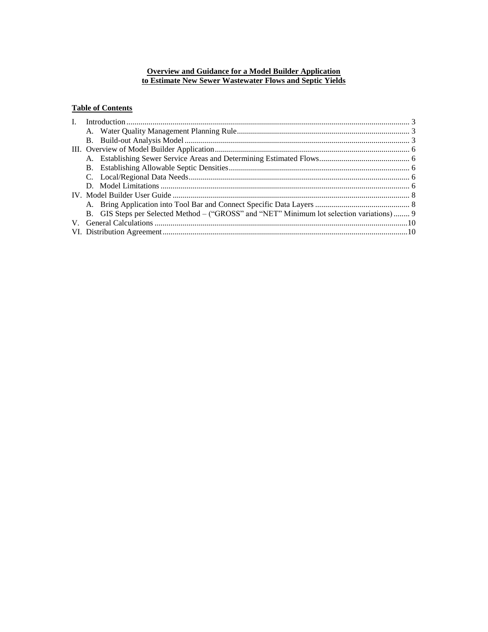### **Overview and Guidance for a Model Builder Application to Estimate New Sewer Wastewater Flows and Septic Yields**

# **Table of Contents**

|  | B. GIS Steps per Selected Method – ("GROSS" and "NET" Minimum lot selection variations) 9 |  |
|--|-------------------------------------------------------------------------------------------|--|
|  |                                                                                           |  |
|  |                                                                                           |  |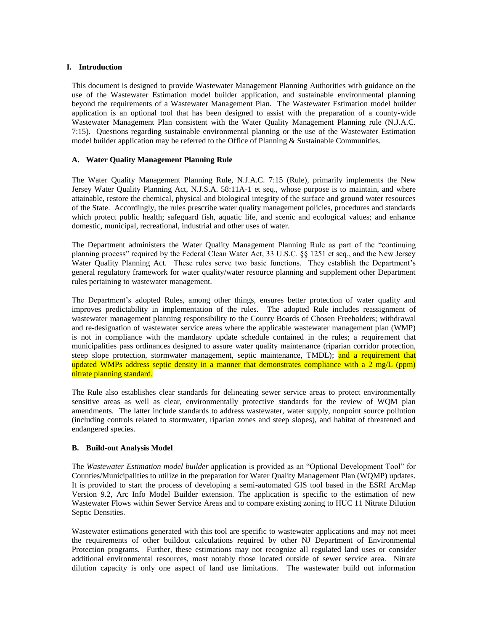### <span id="page-3-0"></span>**I. Introduction**

This document is designed to provide Wastewater Management Planning Authorities with guidance on the use of the Wastewater Estimation model builder application, and sustainable environmental planning beyond the requirements of a Wastewater Management Plan. The Wastewater Estimation model builder application is an optional tool that has been designed to assist with the preparation of a county-wide Wastewater Management Plan consistent with the Water Quality Management Planning rule (N.J.A.C. 7:15). Questions regarding sustainable environmental planning or the use of the Wastewater Estimation model builder application may be referred to the Office of Planning & Sustainable Communities.

### <span id="page-3-1"></span>**A. Water Quality Management Planning Rule**

The Water Quality Management Planning Rule, N.J.A.C. 7:15 (Rule), primarily implements the New Jersey Water Quality Planning Act, N.J.S.A. 58:11A-1 et seq., whose purpose is to maintain, and where attainable, restore the chemical, physical and biological integrity of the surface and ground water resources of the State. Accordingly, the rules prescribe water quality management policies, procedures and standards which protect public health; safeguard fish, aquatic life, and scenic and ecological values; and enhance domestic, municipal, recreational, industrial and other uses of water.

The Department administers the Water Quality Management Planning Rule as part of the "continuing planning process" required by the Federal Clean Water Act, 33 U.S.C. §§ 1251 et seq., and the New Jersey Water Quality Planning Act. These rules serve two basic functions. They establish the Department's general regulatory framework for water quality/water resource planning and supplement other Department rules pertaining to wastewater management.

The Department's adopted Rules, among other things, ensures better protection of water quality and improves predictability in implementation of the rules. The adopted Rule includes reassignment of wastewater management planning responsibility to the County Boards of Chosen Freeholders; withdrawal and re-designation of wastewater service areas where the applicable wastewater management plan (WMP) is not in compliance with the mandatory update schedule contained in the rules; a requirement that municipalities pass ordinances designed to assure water quality maintenance (riparian corridor protection, steep slope protection, stormwater management, septic maintenance, TMDL); and a requirement that updated WMPs address septic density in a manner that demonstrates compliance with a 2 mg/L (ppm) nitrate planning standard.

The Rule also establishes clear standards for delineating sewer service areas to protect environmentally sensitive areas as well as clear, environmentally protective standards for the review of WQM plan amendments. The latter include standards to address wastewater, water supply, nonpoint source pollution (including controls related to stormwater, riparian zones and steep slopes), and habitat of threatened and endangered species.

# <span id="page-3-2"></span>**B. Build-out Analysis Model**

The *Wastewater Estimation model builder* application is provided as an "Optional Development Tool" for Counties/Municipalities to utilize in the preparation for Water Quality Management Plan (WQMP) updates. It is provided to start the process of developing a semi-automated GIS tool based in the ESRI ArcMap Version 9.2, Arc Info Model Builder extension. The application is specific to the estimation of new Wastewater Flows within Sewer Service Areas and to compare existing zoning to HUC 11 Nitrate Dilution Septic Densities.

Wastewater estimations generated with this tool are specific to wastewater applications and may not meet the requirements of other buildout calculations required by other NJ Department of Environmental Protection programs. Further, these estimations may not recognize all regulated land uses or consider additional environmental resources, most notably those located outside of sewer service area. Nitrate dilution capacity is only one aspect of land use limitations. The wastewater build out information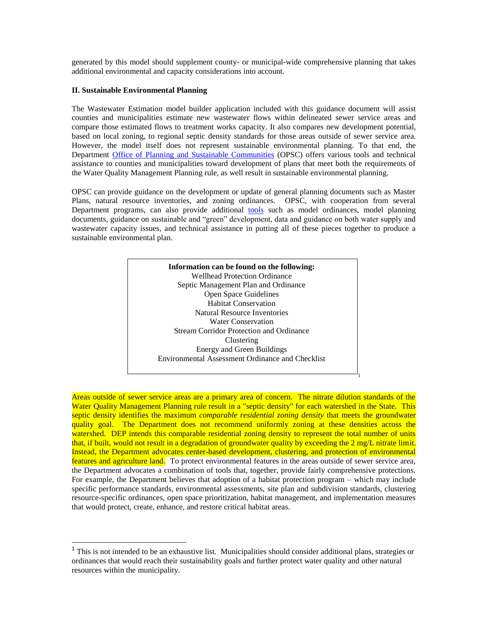generated by this model should supplement county- or municipal-wide comprehensive planning that takes additional environmental and capacity considerations into account.

### **II. Sustainable Environmental Planning**

 $\overline{a}$ 

The Wastewater Estimation model builder application included with this guidance document will assist counties and municipalities estimate new wastewater flows within delineated sewer service areas and compare those estimated flows to treatment works capacity. It also compares new development potential, based on local zoning, to regional septic density standards for those areas outside of sewer service area. However, the model itself does not represent sustainable environmental planning. To that end, the Department [Office of Planning and Sustainable Communities](http://www.nj.gov/dep/opsc) (OPSC) offers various tools and technical assistance to counties and municipalities toward development of plans that meet both the requirements of the Water Quality Management Planning rule, as well result in sustainable environmental planning.

OPSC can provide guidance on the development or update of general planning documents such as Master Plans, natural resource inventories, and zoning ordinances. OPSC, with cooperation from several Department programs, can also provide additional [tools](http://www.nj.gov/dep/opsc/envcbp.html#model) such as model ordinances, model planning documents, guidance on sustainable and "green" development, data and guidance on both water supply and wastewater capacity issues, and technical assistance in putting all of these pieces together to produce a sustainable environmental plan.



Areas outside of sewer service areas are a primary area of concern. The nitrate dilution standards of the Water Quality Management Planning rule result in a "septic density" for each watershed in the State. This septic density identifies the maximum *comparable residential zoning density* that meets the groundwater quality goal. The Department does not recommend uniformly zoning at these densities across the watershed. DEP intends this comparable residential zoning density to represent the total number of units that, if built, would not result in a degradation of groundwater quality by exceeding the 2 mg/L nitrate limit. Instead, the Department advocates center-based development, clustering, and protection of environmental features and agriculture land. To protect environmental features in the areas outside of sewer service area, the Department advocates a combination of tools that, together, provide fairly comprehensive protections. For example, the Department believes that adoption of a habitat protection program – which may include specific performance standards, environmental assessments, site plan and subdivision standards, clustering resource-specific ordinances, open space prioritization, habitat management, and implementation measures that would protect, create, enhance, and restore critical habitat areas.

<sup>&</sup>lt;sup>1</sup> This is not intended to be an exhaustive list. Municipalities should consider additional plans, strategies or ordinances that would reach their sustainability goals and further protect water quality and other natural resources within the municipality.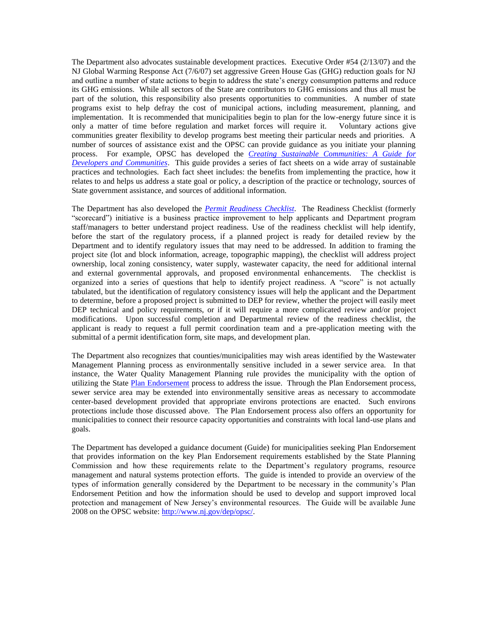The Department also advocates sustainable development practices. Executive Order #54 (2/13/07) and the NJ Global Warming Response Act (7/6/07) set aggressive Green House Gas (GHG) reduction goals for NJ and outline a number of state actions to begin to address the state's energy consumption patterns and reduce its GHG emissions. While all sectors of the State are contributors to GHG emissions and thus all must be part of the solution, this responsibility also presents opportunities to communities. A number of state programs exist to help defray the cost of municipal actions, including measurement, planning, and implementation. It is recommended that municipalities begin to plan for the low-energy future since it is only a matter of time before regulation and market forces will require it. Voluntary actions give communities greater flexibility to develop programs best meeting their particular needs and priorities. A number of sources of assistance exist and the OPSC can provide guidance as you initiate your planning process. For example, OPSC has developed the *[Creating Sustainable Communities: A Guide for](http://www.nj.gov/dep/opsc/sdtguide.html)  [Developers and Communities](http://www.nj.gov/dep/opsc/sdtguide.html)*. This guide provides a series of fact sheets on a wide array of sustainable practices and technologies. Each fact sheet includes: the benefits from implementing the practice, how it relates to and helps us address a state goal or policy, a description of the practice or technology, sources of State government assistance, and sources of additional information.

The Department has also developed the *[Permit Readiness Checklist](http://www.state.nj.us/dep/opppc/permitcoor.htm)*. The Readiness Checklist (formerly "scorecard") initiative is a business practice improvement to help applicants and Department program staff/managers to better understand project readiness. Use of the readiness checklist will help identify, before the start of the regulatory process, if a planned project is ready for detailed review by the Department and to identify regulatory issues that may need to be addressed. In addition to framing the project site (lot and block information, acreage, topographic mapping), the checklist will address project ownership, local zoning consistency, water supply, wastewater capacity, the need for additional internal and external governmental approvals, and proposed environmental enhancements. The checklist is organized into a series of questions that help to identify project readiness. A "score" is not actually tabulated, but the identification of regulatory consistency issues will help the applicant and the Department to determine, before a proposed project is submitted to DEP for review, whether the project will easily meet DEP technical and policy requirements, or if it will require a more complicated review and/or project modifications. Upon successful completion and Departmental review of the readiness checklist, the applicant is ready to request a full permit coordination team and a pre-application meeting with the submittal of a permit identification form, site maps, and development plan.

The Department also recognizes that counties/municipalities may wish areas identified by the Wastewater Management Planning process as environmentally sensitive included in a sewer service area. In that instance, the Water Quality Management Planning rule provides the municipality with the option of utilizing the State [Plan Endorsement](http://www.nj.gov/dep/opsc/envcbp.html#reviews) process to address the issue. Through the Plan Endorsement process, sewer service area may be extended into environmentally sensitive areas as necessary to accommodate center-based development provided that appropriate environs protections are enacted. Such environs protections include those discussed above. The Plan Endorsement process also offers an opportunity for municipalities to connect their resource capacity opportunities and constraints with local land-use plans and goals.

The Department has developed a guidance document (Guide) for municipalities seeking Plan Endorsement that provides information on the key Plan Endorsement requirements established by the State Planning Commission and how these requirements relate to the Department's regulatory programs, resource management and natural systems protection efforts. The guide is intended to provide an overview of the types of information generally considered by the Department to be necessary in the community's Plan Endorsement Petition and how the information should be used to develop and support improved local protection and management of New Jersey's environmental resources. The Guide will be available June 2008 on the OPSC website: [http://www.nj.gov/dep/opsc/.](http://www.nj.gov/dep/opsc/)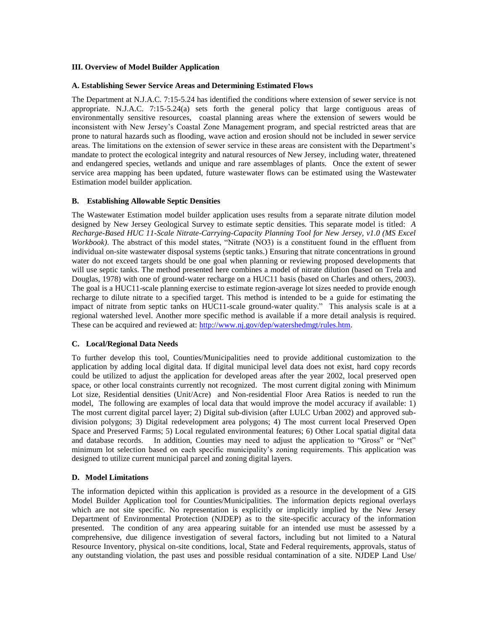#### <span id="page-6-0"></span>**III. Overview of Model Builder Application**

### <span id="page-6-1"></span>**A. Establishing Sewer Service Areas and Determining Estimated Flows**

The Department at N.J.A.C. 7:15-5.24 has identified the conditions where extension of sewer service is not appropriate. N.J.A.C. 7:15-5.24(a) sets forth the general policy that large contiguous areas of environmentally sensitive resources, coastal planning areas where the extension of sewers would be inconsistent with New Jersey's Coastal Zone Management program, and special restricted areas that are prone to natural hazards such as flooding, wave action and erosion should not be included in sewer service areas. The limitations on the extension of sewer service in these areas are consistent with the Department's mandate to protect the ecological integrity and natural resources of New Jersey, including water, threatened and endangered species, wetlands and unique and rare assemblages of plants. Once the extent of sewer service area mapping has been updated, future wastewater flows can be estimated using the Wastewater Estimation model builder application.

### <span id="page-6-2"></span>**B. Establishing Allowable Septic Densities**

The Wastewater Estimation model builder application uses results from a separate nitrate dilution model designed by New Jersey Geological Survey to estimate septic densities. This separate model is titled: *A Recharge-Based HUC 11-Scale Nitrate-Carrying-Capacity Planning Tool for New Jersey, v1.0 (MS Excel Workbook*). The abstract of this model states, "Nitrate (NO3) is a constituent found in the effluent from individual on-site wastewater disposal systems (septic tanks.) Ensuring that nitrate concentrations in ground water do not exceed targets should be one goal when planning or reviewing proposed developments that will use septic tanks. The method presented here combines a model of nitrate dilution (based on Trela and Douglas, 1978) with one of ground-water recharge on a HUC11 basis (based on Charles and others, 2003). The goal is a HUC11-scale planning exercise to estimate region-average lot sizes needed to provide enough recharge to dilute nitrate to a specified target. This method is intended to be a guide for estimating the impact of nitrate from septic tanks on HUC11-scale ground-water quality." This analysis scale is at a regional watershed level. Another more specific method is available if a more detail analysis is required. These can be acquired and reviewed at: [http://www.nj.gov/dep/watershedmgt/rules.htm.](http://www.nj.gov/dep/watershedmgt/rules.htm)

# <span id="page-6-3"></span>**C. Local/Regional Data Needs**

To further develop this tool, Counties/Municipalities need to provide additional customization to the application by adding local digital data. If digital municipal level data does not exist, hard copy records could be utilized to adjust the application for developed areas after the year 2002, local preserved open space, or other local constraints currently not recognized. The most current digital zoning with Minimum Lot size, Residential densities (Unit/Acre) and Non-residential Floor Area Ratios is needed to run the model, The following are examples of local data that would improve the model accuracy if available: 1) The most current digital parcel layer; 2) Digital sub-division (after LULC Urban 2002) and approved subdivision polygons; 3) Digital redevelopment area polygons; 4) The most current local Preserved Open Space and Preserved Farms; 5) Local regulated environmental features; 6) Other Local spatial digital data and database records. In addition, Counties may need to adjust the application to "Gross" or "Net" minimum lot selection based on each specific municipality's zoning requirements. This application was designed to utilize current municipal parcel and zoning digital layers.

#### <span id="page-6-4"></span>**D. Model Limitations**

The information depicted within this application is provided as a resource in the development of a GIS Model Builder Application tool for Counties/Municipalities. The information depicts regional overlays which are not site specific. No representation is explicitly or implicitly implied by the New Jersey Department of Environmental Protection (NJDEP) as to the site-specific accuracy of the information presented. The condition of any area appearing suitable for an intended use must be assessed by a comprehensive, due diligence investigation of several factors, including but not limited to a Natural Resource Inventory, physical on-site conditions, local, State and Federal requirements, approvals, status of any outstanding violation, the past uses and possible residual contamination of a site. NJDEP Land Use/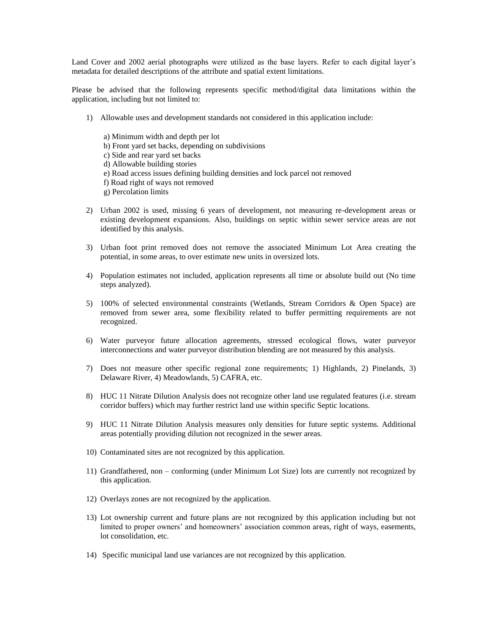Land Cover and 2002 aerial photographs were utilized as the base layers. Refer to each digital layer's metadata for detailed descriptions of the attribute and spatial extent limitations.

Please be advised that the following represents specific method/digital data limitations within the application, including but not limited to:

- 1) Allowable uses and development standards not considered in this application include:
	- a) Minimum width and depth per lot
	- b) Front yard set backs, depending on subdivisions
	- c) Side and rear yard set backs
	- d) Allowable building stories
	- e) Road access issues defining building densities and lock parcel not removed
	- f) Road right of ways not removed
	- g) Percolation limits
- 2) Urban 2002 is used, missing 6 years of development, not measuring re-development areas or existing development expansions. Also, buildings on septic within sewer service areas are not identified by this analysis.
- 3) Urban foot print removed does not remove the associated Minimum Lot Area creating the potential, in some areas, to over estimate new units in oversized lots.
- 4) Population estimates not included, application represents all time or absolute build out (No time steps analyzed).
- 5) 100% of selected environmental constraints (Wetlands, Stream Corridors & Open Space) are removed from sewer area, some flexibility related to buffer permitting requirements are not recognized.
- 6) Water purveyor future allocation agreements, stressed ecological flows, water purveyor interconnections and water purveyor distribution blending are not measured by this analysis.
- 7) Does not measure other specific regional zone requirements; 1) Highlands, 2) Pinelands, 3) Delaware River, 4) Meadowlands, 5) CAFRA, etc.
- 8) HUC 11 Nitrate Dilution Analysis does not recognize other land use regulated features (i.e. stream corridor buffers) which may further restrict land use within specific Septic locations.
- 9) HUC 11 Nitrate Dilution Analysis measures only densities for future septic systems. Additional areas potentially providing dilution not recognized in the sewer areas.
- 10) Contaminated sites are not recognized by this application.
- 11) Grandfathered, non conforming (under Minimum Lot Size) lots are currently not recognized by this application.
- 12) Overlays zones are not recognized by the application.
- 13) Lot ownership current and future plans are not recognized by this application including but not limited to proper owners' and homeowners' association common areas, right of ways, easements, lot consolidation, etc.
- 14) Specific municipal land use variances are not recognized by this application.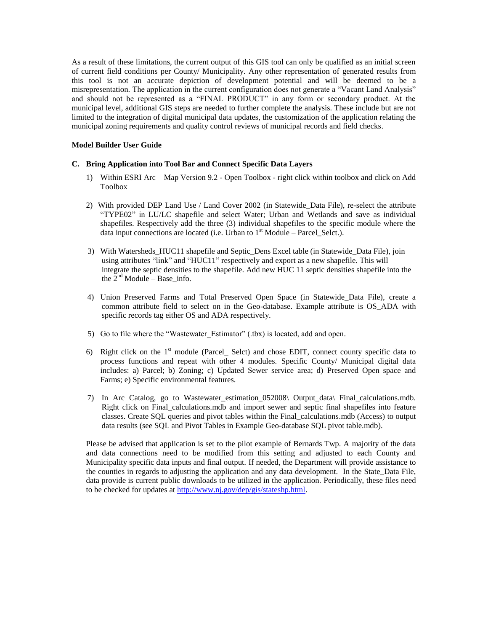As a result of these limitations, the current output of this GIS tool can only be qualified as an initial screen of current field conditions per County/ Municipality. Any other representation of generated results from this tool is not an accurate depiction of development potential and will be deemed to be a misrepresentation. The application in the current configuration does not generate a "Vacant Land Analysis" and should not be represented as a "FINAL PRODUCT" in any form or secondary product. At the municipal level, additional GIS steps are needed to further complete the analysis. These include but are not limited to the integration of digital municipal data updates, the customization of the application relating the municipal zoning requirements and quality control reviews of municipal records and field checks.

## <span id="page-8-0"></span>**Model Builder User Guide**

#### <span id="page-8-1"></span>**C. Bring Application into Tool Bar and Connect Specific Data Layers**

- 1) Within ESRI Arc Map Version 9.2 Open Toolbox right click within toolbox and click on Add Toolbox
- 2) With provided DEP Land Use / Land Cover 2002 (in Statewide\_Data File), re-select the attribute "TYPE02" in LU/LC shapefile and select Water; Urban and Wetlands and save as individual shapefiles. Respectively add the three (3) individual shapefiles to the specific module where the data input connections are located (i.e. Urban to  $1<sup>st</sup>$  Module – Parcel\_Selct.).
- 3) With Watersheds\_HUC11 shapefile and Septic\_Dens Excel table (in Statewide\_Data File), join using attributes "link" and "HUC11" respectively and export as a new shapefile. This will integrate the septic densities to the shapefile. Add new HUC 11 septic densities shapefile into the the  $2<sup>nd</sup>$  Module – Base\_info.
- 4) Union Preserved Farms and Total Preserved Open Space (in Statewide\_Data File), create a common attribute field to select on in the Geo-database. Example attribute is OS\_ADA with specific records tag either OS and ADA respectively.
- 5) Go to file where the "Wastewater Estimator" (.tbx) is located, add and open.
- 6) Right click on the  $1<sup>st</sup>$  module (Parcel\_ Selct) and chose EDIT, connect county specific data to process functions and repeat with other 4 modules. Specific County/ Municipal digital data includes: a) Parcel; b) Zoning; c) Updated Sewer service area; d) Preserved Open space and Farms; e) Specific environmental features.
- 7) In Arc Catalog, go to Wastewater\_estimation\_052008\ Output\_data\ Final\_calculations.mdb. Right click on Final\_calculations.mdb and import sewer and septic final shapefiles into feature classes. Create SQL queries and pivot tables within the Final\_calculations.mdb (Access) to output data results (see SQL and Pivot Tables in Example Geo-database SQL pivot table.mdb).

Please be advised that application is set to the pilot example of Bernards Twp. A majority of the data and data connections need to be modified from this setting and adjusted to each County and Municipality specific data inputs and final output. If needed, the Department will provide assistance to the counties in regards to adjusting the application and any data development. In the State\_Data File, data provide is current public downloads to be utilized in the application. Periodically, these files need to be checked for updates at [http://www.nj.gov/dep/gis/stateshp.html.](http://www.nj.gov/dep/gis/stateshp.html)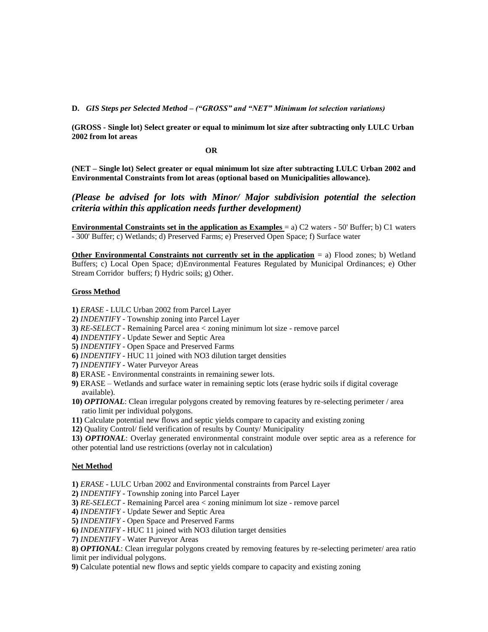<span id="page-9-0"></span>**D.** *GIS Steps per Selected Method – ("GROSS" and "NET" Minimum lot selection variations)* 

**(GROSS - Single lot) Select greater or equal to minimum lot size after subtracting only LULC Urban 2002 from lot areas** 

 **OR** 

**(NET – Single lot) Select greater or equal minimum lot size after subtracting LULC Urban 2002 and Environmental Constraints from lot areas (optional based on Municipalities allowance).**

*(Please be advised for lots with Minor/ Major subdivision potential the selection criteria within this application needs further development)* 

**Environmental Constraints set in the application as Examples** = a) C2 waters - 50' Buffer; b) C1 waters - 300' Buffer; c) Wetlands; d) Preserved Farms; e) Preserved Open Space; f) Surface water

**Other Environmental Constraints not currently set in the application** = a) Flood zones; b) Wetland Buffers; c) Local Open Space; d)Environmental Features Regulated by Municipal Ordinances; e) Other Stream Corridor buffers; f) Hydric soils; g) Other.

# **Gross Method**

**1)** *ERASE* - LULC Urban 2002 from Parcel Layer

- **2)** *INDENTIFY* Township zoning into Parcel Layer
- **3)** *RE-SELECT* Remaining Parcel area < zoning minimum lot size remove parcel
- **4)** *INDENTIFY* Update Sewer and Septic Area
- **5)** *INDENTIFY* Open Space and Preserved Farms
- **6)** *INDENTIFY* HUC 11 joined with NO3 dilution target densities
- **7)** *INDENTIFY* Water Purveyor Areas
- **8)** ERASE Environmental constraints in remaining sewer lots.
- **9)** ERASE Wetlands and surface water in remaining septic lots (erase hydric soils if digital coverage available).

**10)** *OPTIONAL*: Clean irregular polygons created by removing features by re-selecting perimeter / area ratio limit per individual polygons.

**11)** Calculate potential new flows and septic yields compare to capacity and existing zoning

**12)** Quality Control/ field verification of results by County/ Municipality

**13)** *OPTIONAL*: Overlay generated environmental constraint module over septic area as a reference for other potential land use restrictions (overlay not in calculation)

# **Net Method**

**1)** *ERASE* - LULC Urban 2002 and Environmental constraints from Parcel Layer

**2)** *INDENTIFY* - Township zoning into Parcel Layer

**3)** *RE-SELECT* - Remaining Parcel area < zoning minimum lot size - remove parcel

**4)** *INDENTIFY* - Update Sewer and Septic Area

**5)** *INDENTIFY* - Open Space and Preserved Farms

**6)** *INDENTIFY* - HUC 11 joined with NO3 dilution target densities

**7)** *INDENTIFY* - Water Purveyor Areas

**8)** *OPTIONAL*: Clean irregular polygons created by removing features by re-selecting perimeter/ area ratio limit per individual polygons.

**9)** Calculate potential new flows and septic yields compare to capacity and existing zoning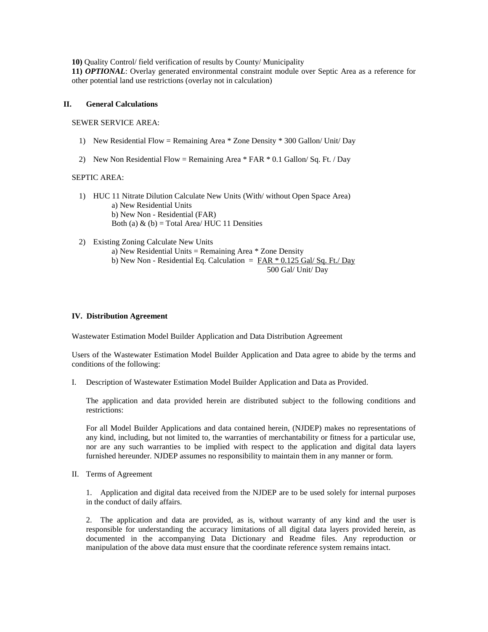**10)** Quality Control/ field verification of results by County/ Municipality

**11)** *OPTIONAL*: Overlay generated environmental constraint module over Septic Area as a reference for other potential land use restrictions (overlay not in calculation)

#### <span id="page-10-0"></span>**II. General Calculations**

SEWER SERVICE AREA:

- 1) New Residential Flow = Remaining Area \* Zone Density \* 300 Gallon/ Unit/ Day
- 2) New Non Residential Flow = Remaining Area  $*$  FAR  $*$  0.1 Gallon/ Sq. Ft. / Day

#### SEPTIC AREA:

- 1) HUC 11 Nitrate Dilution Calculate New Units (With/ without Open Space Area) a) New Residential Units b) New Non - Residential (FAR) Both (a)  $\&$  (b) = Total Area/ HUC 11 Densities
- 2) Existing Zoning Calculate New Units a) New Residential Units = Remaining Area \* Zone Density b) New Non - Residential Eq. Calculation  $=$  FAR  $*$  0.125 Gal/ Sq. Ft./ Day 500 Gal/ Unit/ Day

#### <span id="page-10-1"></span>**IV. Distribution Agreement**

Wastewater Estimation Model Builder Application and Data Distribution Agreement

Users of the Wastewater Estimation Model Builder Application and Data agree to abide by the terms and conditions of the following:

I. Description of Wastewater Estimation Model Builder Application and Data as Provided.

The application and data provided herein are distributed subject to the following conditions and restrictions:

For all Model Builder Applications and data contained herein, (NJDEP) makes no representations of any kind, including, but not limited to, the warranties of merchantability or fitness for a particular use, nor are any such warranties to be implied with respect to the application and digital data layers furnished hereunder. NJDEP assumes no responsibility to maintain them in any manner or form.

II. Terms of Agreement

1. Application and digital data received from the NJDEP are to be used solely for internal purposes in the conduct of daily affairs.

2. The application and data are provided, as is, without warranty of any kind and the user is responsible for understanding the accuracy limitations of all digital data layers provided herein, as documented in the accompanying Data Dictionary and Readme files. Any reproduction or manipulation of the above data must ensure that the coordinate reference system remains intact.